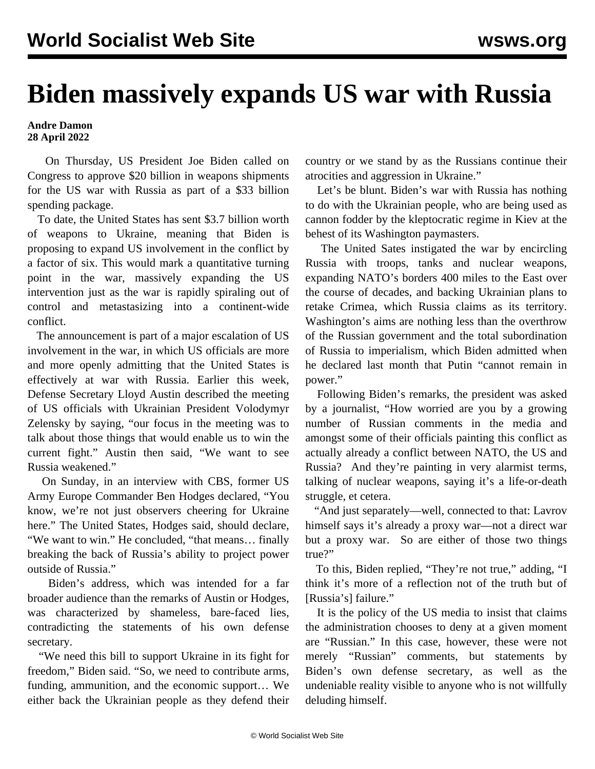## **Biden massively expands US war with Russia**

## **Andre Damon 28 April 2022**

 On Thursday, US President Joe Biden called on Congress to approve \$20 billion in weapons shipments for the US war with Russia as part of a \$33 billion spending package.

 To date, the United States has sent \$3.7 billion worth of weapons to Ukraine, meaning that Biden is proposing to expand US involvement in the conflict by a factor of six. This would mark a quantitative turning point in the war, massively expanding the US intervention just as the war is rapidly spiraling out of control and metastasizing into a continent-wide conflict.

 The announcement is part of a major escalation of US involvement in the war, in which US officials are more and more openly admitting that the United States is effectively at war with Russia. Earlier this week, Defense Secretary Lloyd Austin described the meeting of US officials with Ukrainian President Volodymyr Zelensky by saying, "our focus in the meeting was to talk about those things that would enable us to win the current fight." Austin then said, "We want to see Russia weakened."

 On Sunday, in an interview with CBS, former US Army Europe Commander Ben Hodges declared, "You know, we're not just observers cheering for Ukraine here." The United States, Hodges said, should declare, "We want to win." He concluded, "that means… finally breaking the back of Russia's ability to project power outside of Russia."

 Biden's address, which was intended for a far broader audience than the remarks of Austin or Hodges, was characterized by shameless, bare-faced lies, contradicting the statements of his own defense secretary.

 "We need this bill to support Ukraine in its fight for freedom," Biden said. "So, we need to contribute arms, funding, ammunition, and the economic support… We either back the Ukrainian people as they defend their country or we stand by as the Russians continue their atrocities and aggression in Ukraine."

 Let's be blunt. Biden's war with Russia has nothing to do with the Ukrainian people, who are being used as cannon fodder by the kleptocratic regime in Kiev at the behest of its Washington paymasters.

 The United Sates instigated the war by encircling Russia with troops, tanks and nuclear weapons, expanding NATO's borders 400 miles to the East over the course of decades, and backing Ukrainian plans to retake Crimea, which Russia claims as its territory. Washington's aims are nothing less than the overthrow of the Russian government and the total subordination of Russia to imperialism, which Biden admitted when he declared last month that Putin "cannot remain in power."

 Following Biden's remarks, the president was asked by a journalist, "How worried are you by a growing number of Russian comments in the media and amongst some of their officials painting this conflict as actually already a conflict between NATO, the US and Russia? And they're painting in very alarmist terms, talking of nuclear weapons, saying it's a life-or-death struggle, et cetera.

 "And just separately—well, connected to that: Lavrov himself says it's already a proxy war—not a direct war but a proxy war. So are either of those two things true?"

 To this, Biden replied, "They're not true," adding, "I think it's more of a reflection not of the truth but of [Russia's] failure."

 It is the policy of the US media to insist that claims the administration chooses to deny at a given moment are "Russian." In this case, however, these were not merely "Russian" comments, but statements by Biden's own defense secretary, as well as the undeniable reality visible to anyone who is not willfully deluding himself.